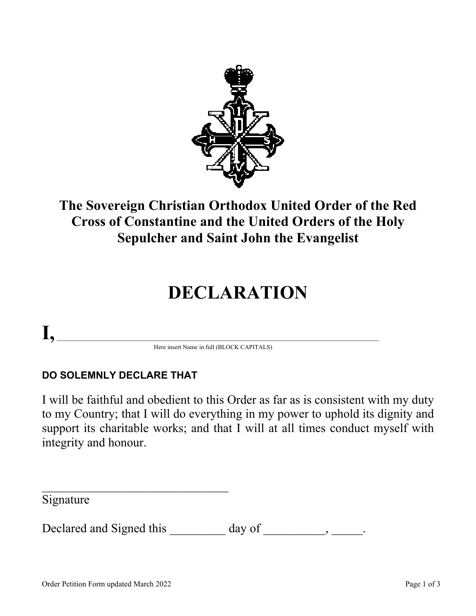

## **The Sovereign Christian Orthodox United Order of the Red Cross of Constantine and the United Orders of the Holy Sepulcher and Saint John the Evangelist**

# **DECLARATION**

# $\mathbf{I}, \_\_$

Here insert Name in full (BLOCK CAPITALS)

#### **DO SOLEMNLY DECLARE THAT**

 $\mathcal{L}_\text{max}$ 

I will be faithful and obedient to this Order as far as is consistent with my duty to my Country; that I will do everything in my power to uphold its dignity and support its charitable works; and that I will at all times conduct myself with integrity and honour.

Signature

Declared and Signed this \_\_\_\_\_\_\_\_ day of \_\_\_\_\_\_\_\_, \_\_\_\_\_.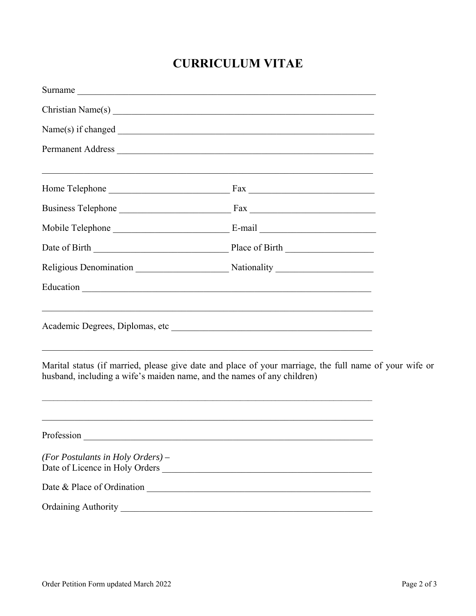### **CURRICULUM VITAE**

|                                                                         | Surname                                                                                                                                                                              |  |
|-------------------------------------------------------------------------|--------------------------------------------------------------------------------------------------------------------------------------------------------------------------------------|--|
|                                                                         |                                                                                                                                                                                      |  |
|                                                                         |                                                                                                                                                                                      |  |
|                                                                         | Permanent Address                                                                                                                                                                    |  |
|                                                                         | <u> 1989 - Johann John Harry Harry Harry Harry Harry Harry Harry Harry Harry Harry Harry Harry Harry Harry Harry</u>                                                                 |  |
|                                                                         |                                                                                                                                                                                      |  |
|                                                                         |                                                                                                                                                                                      |  |
|                                                                         |                                                                                                                                                                                      |  |
|                                                                         |                                                                                                                                                                                      |  |
|                                                                         |                                                                                                                                                                                      |  |
|                                                                         |                                                                                                                                                                                      |  |
| husband, including a wife's maiden name, and the names of any children) | Marital status (if married, please give date and place of your marriage, the full name of your wife or                                                                               |  |
| Profession                                                              | <u> 1989 - Johann Stoff, amerikansk politiker (d. 1989)</u><br><u> 1989 - Johann Barn, amerikan bernama perang di sebagai perang perang perang perang perang perang perang peran</u> |  |
| (For Postulants in Holy Orders) $-$                                     | Date of Licence in Holy Orders                                                                                                                                                       |  |
|                                                                         |                                                                                                                                                                                      |  |
| <b>Ordaining Authority</b>                                              |                                                                                                                                                                                      |  |